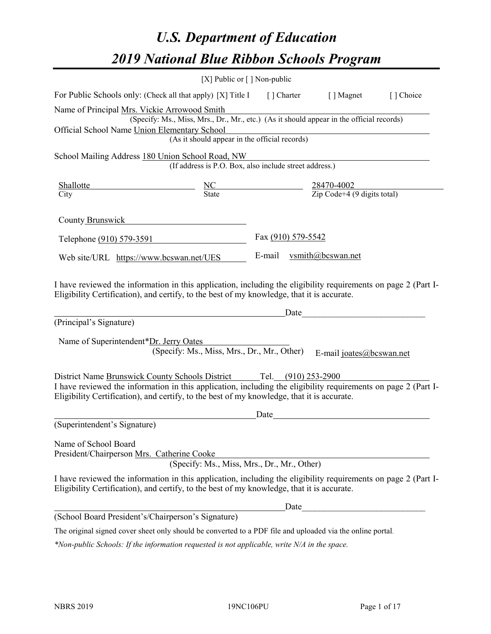# *U.S. Department of Education 2019 National Blue Ribbon Schools Program*

|                                                                                                                                                                                                                                                                                     | [X] Public or $\lceil$ ] Non-public                                                      |                          |                                                                                                                                                                                                                               |           |
|-------------------------------------------------------------------------------------------------------------------------------------------------------------------------------------------------------------------------------------------------------------------------------------|------------------------------------------------------------------------------------------|--------------------------|-------------------------------------------------------------------------------------------------------------------------------------------------------------------------------------------------------------------------------|-----------|
| For Public Schools only: (Check all that apply) [X] Title I                                                                                                                                                                                                                         |                                                                                          |                          | [] Charter [] Magnet                                                                                                                                                                                                          | [] Choice |
| Name of Principal Mrs. Vickie Arrowood Smith<br>Official School Name Union Elementary School                                                                                                                                                                                        | (Specify: Ms., Miss, Mrs., Dr., Mr., etc.) (As it should appear in the official records) |                          |                                                                                                                                                                                                                               |           |
|                                                                                                                                                                                                                                                                                     | (As it should appear in the official records)                                            |                          |                                                                                                                                                                                                                               |           |
| School Mailing Address 180 Union School Road, NW                                                                                                                                                                                                                                    |                                                                                          |                          |                                                                                                                                                                                                                               |           |
|                                                                                                                                                                                                                                                                                     | (If address is P.O. Box, also include street address.)                                   |                          |                                                                                                                                                                                                                               |           |
| <b>Shallotte</b><br>City                                                                                                                                                                                                                                                            | $\frac{NC}{\text{State}}$ $\frac{28470-4002}{\text{Zip Code}+4 (9 digits total)}$        |                          |                                                                                                                                                                                                                               |           |
| County Brunswick                                                                                                                                                                                                                                                                    |                                                                                          |                          |                                                                                                                                                                                                                               |           |
| Telephone (910) 579-3591                                                                                                                                                                                                                                                            |                                                                                          | Fax (910) 579-5542       |                                                                                                                                                                                                                               |           |
| Web site/URL https://www.bcswan.net/UES                                                                                                                                                                                                                                             |                                                                                          | E-mail vsmith@bcswan.net |                                                                                                                                                                                                                               |           |
| I have reviewed the information in this application, including the eligibility requirements on page 2 (Part I-<br>Eligibility Certification), and certify, to the best of my knowledge, that it is accurate.                                                                        |                                                                                          |                          | Date and the set of the set of the set of the set of the set of the set of the set of the set of the set of the set of the set of the set of the set of the set of the set of the set of the set of the set of the set of the |           |
| (Principal's Signature)                                                                                                                                                                                                                                                             |                                                                                          |                          |                                                                                                                                                                                                                               |           |
| Name of Superintendent*Dr. Jerry Oates                                                                                                                                                                                                                                              | (Specify: Ms., Miss, Mrs., Dr., Mr., Other)                                              |                          | E-mail joates@bcswan.net                                                                                                                                                                                                      |           |
| District Name Brunswick County Schools District Tel. (910) 253-2900<br>I have reviewed the information in this application, including the eligibility requirements on page 2 (Part I-<br>Eligibility Certification), and certify, to the best of my knowledge, that it is accurate. |                                                                                          |                          |                                                                                                                                                                                                                               |           |
| (Superintendent's Signature)                                                                                                                                                                                                                                                        |                                                                                          | Date                     |                                                                                                                                                                                                                               |           |
| Name of School Board<br>President/Chairperson Mrs. Catherine Cooke                                                                                                                                                                                                                  | (Specify: Ms., Miss, Mrs., Dr., Mr., Other)                                              |                          |                                                                                                                                                                                                                               |           |
| I have reviewed the information in this application, including the eligibility requirements on page 2 (Part I-<br>Eligibility Certification), and certify, to the best of my knowledge, that it is accurate.                                                                        |                                                                                          |                          |                                                                                                                                                                                                                               |           |
|                                                                                                                                                                                                                                                                                     |                                                                                          | Date                     |                                                                                                                                                                                                                               |           |
| (School Board President's/Chairperson's Signature)                                                                                                                                                                                                                                  |                                                                                          |                          |                                                                                                                                                                                                                               |           |
| The original signed cover sheet only should be converted to a PDF file and uploaded via the online portal.                                                                                                                                                                          |                                                                                          |                          |                                                                                                                                                                                                                               |           |

*\*Non-public Schools: If the information requested is not applicable, write N/A in the space.*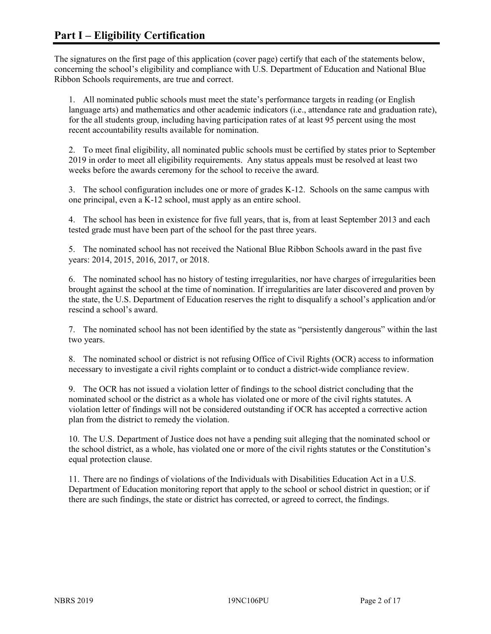The signatures on the first page of this application (cover page) certify that each of the statements below, concerning the school's eligibility and compliance with U.S. Department of Education and National Blue Ribbon Schools requirements, are true and correct.

1. All nominated public schools must meet the state's performance targets in reading (or English language arts) and mathematics and other academic indicators (i.e., attendance rate and graduation rate), for the all students group, including having participation rates of at least 95 percent using the most recent accountability results available for nomination.

2. To meet final eligibility, all nominated public schools must be certified by states prior to September 2019 in order to meet all eligibility requirements. Any status appeals must be resolved at least two weeks before the awards ceremony for the school to receive the award.

3. The school configuration includes one or more of grades K-12. Schools on the same campus with one principal, even a K-12 school, must apply as an entire school.

4. The school has been in existence for five full years, that is, from at least September 2013 and each tested grade must have been part of the school for the past three years.

5. The nominated school has not received the National Blue Ribbon Schools award in the past five years: 2014, 2015, 2016, 2017, or 2018.

6. The nominated school has no history of testing irregularities, nor have charges of irregularities been brought against the school at the time of nomination. If irregularities are later discovered and proven by the state, the U.S. Department of Education reserves the right to disqualify a school's application and/or rescind a school's award.

7. The nominated school has not been identified by the state as "persistently dangerous" within the last two years.

8. The nominated school or district is not refusing Office of Civil Rights (OCR) access to information necessary to investigate a civil rights complaint or to conduct a district-wide compliance review.

9. The OCR has not issued a violation letter of findings to the school district concluding that the nominated school or the district as a whole has violated one or more of the civil rights statutes. A violation letter of findings will not be considered outstanding if OCR has accepted a corrective action plan from the district to remedy the violation.

10. The U.S. Department of Justice does not have a pending suit alleging that the nominated school or the school district, as a whole, has violated one or more of the civil rights statutes or the Constitution's equal protection clause.

11. There are no findings of violations of the Individuals with Disabilities Education Act in a U.S. Department of Education monitoring report that apply to the school or school district in question; or if there are such findings, the state or district has corrected, or agreed to correct, the findings.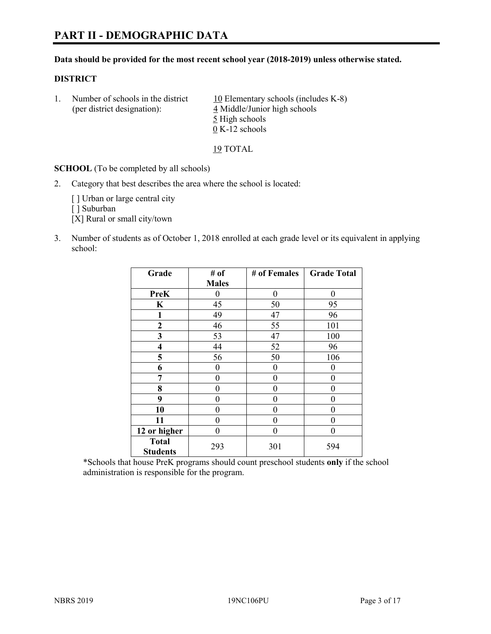# **PART II - DEMOGRAPHIC DATA**

#### **Data should be provided for the most recent school year (2018-2019) unless otherwise stated.**

#### **DISTRICT**

1. Number of schools in the district  $10$  Elementary schools (includes K-8) (per district designation): 4 Middle/Junior high schools 5 High schools 0 K-12 schools

19 TOTAL

**SCHOOL** (To be completed by all schools)

2. Category that best describes the area where the school is located:

[ ] Urban or large central city

[ ] Suburban

[X] Rural or small city/town

3. Number of students as of October 1, 2018 enrolled at each grade level or its equivalent in applying school:

| Grade                           | # of         | # of Females | <b>Grade Total</b> |
|---------------------------------|--------------|--------------|--------------------|
|                                 | <b>Males</b> |              |                    |
| <b>PreK</b>                     | 0            | $\theta$     | 0                  |
| K                               | 45           | 50           | 95                 |
| 1                               | 49           | 47           | 96                 |
| $\mathbf{2}$                    | 46           | 55           | 101                |
| 3                               | 53           | 47           | 100                |
| 4                               | 44           | 52           | 96                 |
| 5                               | 56           | 50           | 106                |
| 6                               | 0            | $\theta$     | 0                  |
| 7                               | 0            | $\theta$     | 0                  |
| 8                               | 0            | 0            | 0                  |
| 9                               | 0            | 0            | 0                  |
| 10                              | 0            | $\theta$     | 0                  |
| 11                              | 0            | 0            | 0                  |
| 12 or higher                    | 0            | $\theta$     | 0                  |
| <b>Total</b><br><b>Students</b> | 293          | 301          | 594                |

\*Schools that house PreK programs should count preschool students **only** if the school administration is responsible for the program.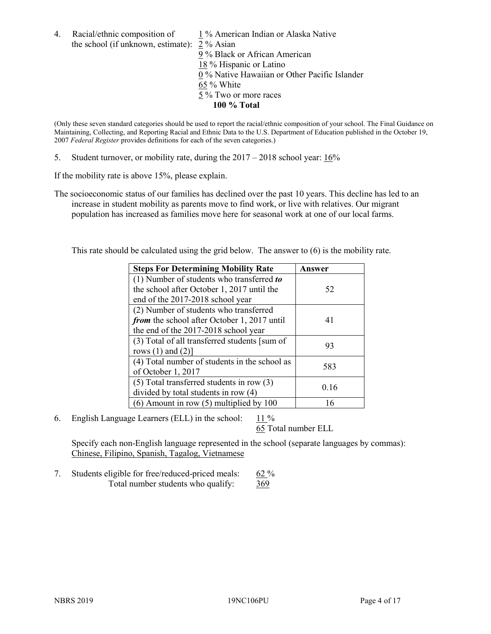4. Racial/ethnic composition of  $1\%$  American Indian or Alaska Native the school (if unknown, estimate): 2 % Asian 9 % Black or African American 18 % Hispanic or Latino 0 % Native Hawaiian or Other Pacific Islander

65 % White 5 % Two or more races

**100 % Total**

(Only these seven standard categories should be used to report the racial/ethnic composition of your school. The Final Guidance on Maintaining, Collecting, and Reporting Racial and Ethnic Data to the U.S. Department of Education published in the October 19, 2007 *Federal Register* provides definitions for each of the seven categories.)

5. Student turnover, or mobility rate, during the 2017 – 2018 school year: 16%

If the mobility rate is above 15%, please explain.

The socioeconomic status of our families has declined over the past 10 years. This decline has led to an increase in student mobility as parents move to find work, or live with relatives. Our migrant population has increased as families move here for seasonal work at one of our local farms.

This rate should be calculated using the grid below. The answer to (6) is the mobility rate.

| <b>Steps For Determining Mobility Rate</b>    | Answer |
|-----------------------------------------------|--------|
| (1) Number of students who transferred to     |        |
| the school after October 1, 2017 until the    | 52     |
| end of the 2017-2018 school year              |        |
| (2) Number of students who transferred        |        |
| from the school after October 1, 2017 until   | 41     |
| the end of the 2017-2018 school year          |        |
| (3) Total of all transferred students [sum of | 93     |
| rows $(1)$ and $(2)$ ]                        |        |
| (4) Total number of students in the school as |        |
| of October 1, 2017                            | 583    |
| $(5)$ Total transferred students in row $(3)$ |        |
| divided by total students in row (4)          | 0.16   |
| $(6)$ Amount in row $(5)$ multiplied by 100   |        |

6. English Language Learners (ELL) in the school: 11 %

65 Total number ELL

Specify each non-English language represented in the school (separate languages by commas): Chinese, Filipino, Spanish, Tagalog, Vietnamese

7. Students eligible for free/reduced-priced meals: 62 % Total number students who qualify: 369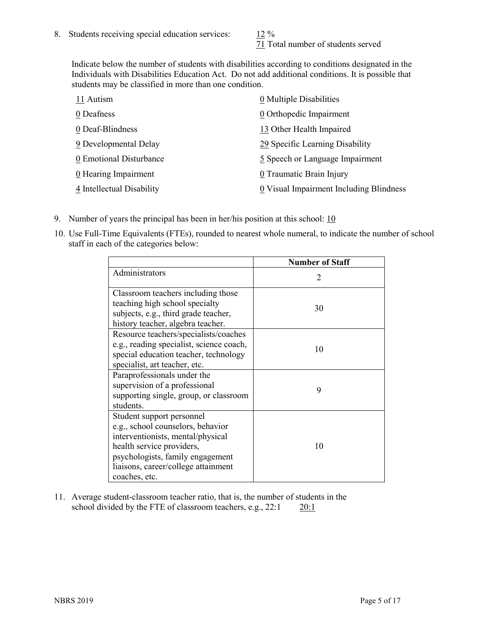71 Total number of students served

Indicate below the number of students with disabilities according to conditions designated in the Individuals with Disabilities Education Act. Do not add additional conditions. It is possible that students may be classified in more than one condition.

| 11 Autism                 | 0 Multiple Disabilities                 |
|---------------------------|-----------------------------------------|
| 0 Deafness                | 0 Orthopedic Impairment                 |
| 0 Deaf-Blindness          | 13 Other Health Impaired                |
| 9 Developmental Delay     | 29 Specific Learning Disability         |
| 0 Emotional Disturbance   | 5 Speech or Language Impairment         |
| 0 Hearing Impairment      | 0 Traumatic Brain Injury                |
| 4 Intellectual Disability | 0 Visual Impairment Including Blindness |

- 9. Number of years the principal has been in her/his position at this school:  $10$
- 10. Use Full-Time Equivalents (FTEs), rounded to nearest whole numeral, to indicate the number of school staff in each of the categories below:

|                                                                                                                                                                                                                              | <b>Number of Staff</b> |
|------------------------------------------------------------------------------------------------------------------------------------------------------------------------------------------------------------------------------|------------------------|
| Administrators                                                                                                                                                                                                               | 2                      |
| Classroom teachers including those<br>teaching high school specialty<br>subjects, e.g., third grade teacher,<br>history teacher, algebra teacher.                                                                            | 30                     |
| Resource teachers/specialists/coaches<br>e.g., reading specialist, science coach,<br>special education teacher, technology<br>specialist, art teacher, etc.                                                                  | 10                     |
| Paraprofessionals under the<br>supervision of a professional<br>supporting single, group, or classroom<br>students.                                                                                                          | 9                      |
| Student support personnel<br>e.g., school counselors, behavior<br>interventionists, mental/physical<br>health service providers,<br>psychologists, family engagement<br>liaisons, career/college attainment<br>coaches, etc. | 10                     |

11. Average student-classroom teacher ratio, that is, the number of students in the school divided by the FTE of classroom teachers, e.g., 22:1 20:1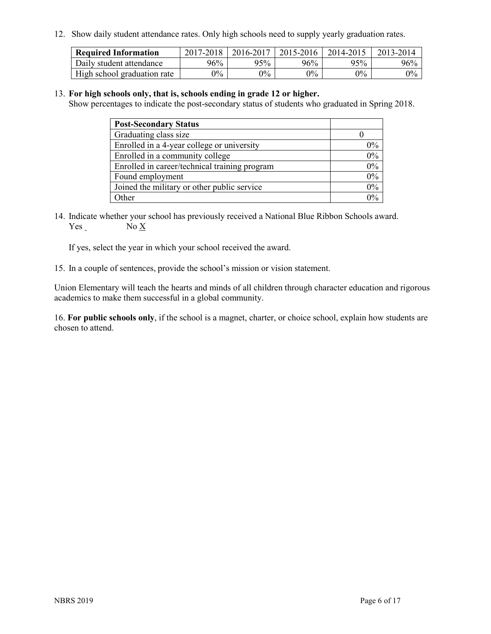12. Show daily student attendance rates. Only high schools need to supply yearly graduation rates.

| <b>Required Information</b> | 2017-2018 | 2016-2017 | 2015-2016 | 2014-2015 | 2013-2014 |
|-----------------------------|-----------|-----------|-----------|-----------|-----------|
| Daily student attendance    | 96%       | 95%       | 96%       | 95%       | 96%       |
| High school graduation rate | $0\%$     | $0\%$     | $0\%$     | $9\%$     | $0\%$     |

#### 13. **For high schools only, that is, schools ending in grade 12 or higher.**

Show percentages to indicate the post-secondary status of students who graduated in Spring 2018.

| <b>Post-Secondary Status</b>                  |       |
|-----------------------------------------------|-------|
| Graduating class size                         |       |
| Enrolled in a 4-year college or university    | $0\%$ |
| Enrolled in a community college               | 0%    |
| Enrolled in career/technical training program | 0%    |
| Found employment                              | 0%    |
| Joined the military or other public service   | 0%    |
| Other                                         | $0\%$ |

14. Indicate whether your school has previously received a National Blue Ribbon Schools award. Yes No X

If yes, select the year in which your school received the award.

15. In a couple of sentences, provide the school's mission or vision statement.

Union Elementary will teach the hearts and minds of all children through character education and rigorous academics to make them successful in a global community.

16. **For public schools only**, if the school is a magnet, charter, or choice school, explain how students are chosen to attend.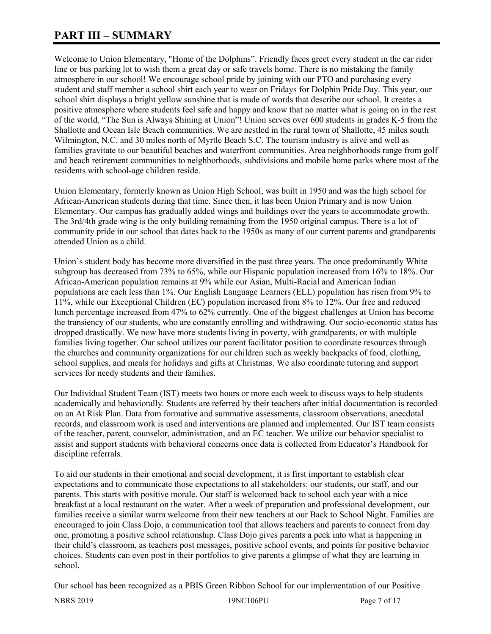# **PART III – SUMMARY**

Welcome to Union Elementary, "Home of the Dolphins". Friendly faces greet every student in the car rider line or bus parking lot to wish them a great day or safe travels home. There is no mistaking the family atmosphere in our school! We encourage school pride by joining with our PTO and purchasing every student and staff member a school shirt each year to wear on Fridays for Dolphin Pride Day. This year, our school shirt displays a bright yellow sunshine that is made of words that describe our school. It creates a positive atmosphere where students feel safe and happy and know that no matter what is going on in the rest of the world, "The Sun is Always Shining at Union"! Union serves over 600 students in grades K-5 from the Shallotte and Ocean Isle Beach communities. We are nestled in the rural town of Shallotte, 45 miles south Wilmington, N.C. and 30 miles north of Myrtle Beach S.C. The tourism industry is alive and well as families gravitate to our beautiful beaches and waterfront communities. Area neighborhoods range from golf and beach retirement communities to neighborhoods, subdivisions and mobile home parks where most of the residents with school-age children reside.

Union Elementary, formerly known as Union High School, was built in 1950 and was the high school for African-American students during that time. Since then, it has been Union Primary and is now Union Elementary. Our campus has gradually added wings and buildings over the years to accommodate growth. The 3rd/4th grade wing is the only building remaining from the 1950 original campus. There is a lot of community pride in our school that dates back to the 1950s as many of our current parents and grandparents attended Union as a child.

Union's student body has become more diversified in the past three years. The once predominantly White subgroup has decreased from 73% to 65%, while our Hispanic population increased from 16% to 18%. Our African-American population remains at 9% while our Asian, Multi-Racial and American Indian populations are each less than 1%. Our English Language Learners (ELL) population has risen from 9% to 11%, while our Exceptional Children (EC) population increased from 8% to 12%. Our free and reduced lunch percentage increased from 47% to 62% currently. One of the biggest challenges at Union has become the transiency of our students, who are constantly enrolling and withdrawing. Our socio-economic status has dropped drastically. We now have more students living in poverty, with grandparents, or with multiple families living together. Our school utilizes our parent facilitator position to coordinate resources through the churches and community organizations for our children such as weekly backpacks of food, clothing, school supplies, and meals for holidays and gifts at Christmas. We also coordinate tutoring and support services for needy students and their families.

Our Individual Student Team (IST) meets two hours or more each week to discuss ways to help students academically and behaviorally. Students are referred by their teachers after initial documentation is recorded on an At Risk Plan. Data from formative and summative assessments, classroom observations, anecdotal records, and classroom work is used and interventions are planned and implemented. Our IST team consists of the teacher, parent, counselor, administration, and an EC teacher. We utilize our behavior specialist to assist and support students with behavioral concerns once data is collected from Educator's Handbook for discipline referrals.

To aid our students in their emotional and social development, it is first important to establish clear expectations and to communicate those expectations to all stakeholders: our students, our staff, and our parents. This starts with positive morale. Our staff is welcomed back to school each year with a nice breakfast at a local restaurant on the water. After a week of preparation and professional development, our families receive a similar warm welcome from their new teachers at our Back to School Night. Families are encouraged to join Class Dojo, a communication tool that allows teachers and parents to connect from day one, promoting a positive school relationship. Class Dojo gives parents a peek into what is happening in their child's classroom, as teachers post messages, positive school events, and points for positive behavior choices. Students can even post in their portfolios to give parents a glimpse of what they are learning in school.

Our school has been recognized as a PBIS Green Ribbon School for our implementation of our Positive

NBRS 2019 19NC106PU Page 7 of 17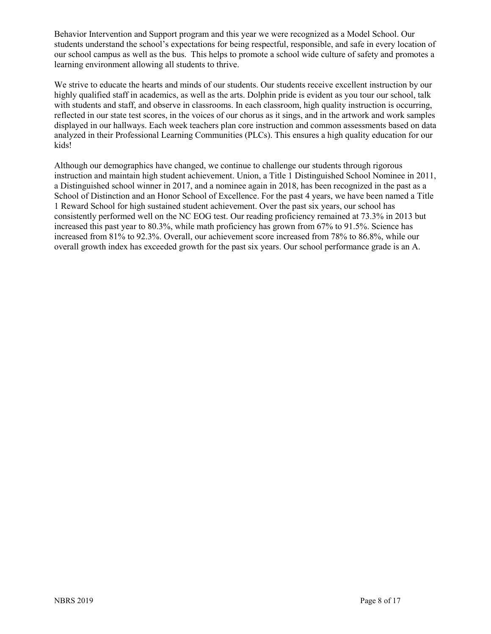Behavior Intervention and Support program and this year we were recognized as a Model School. Our students understand the school's expectations for being respectful, responsible, and safe in every location of our school campus as well as the bus. This helps to promote a school wide culture of safety and promotes a learning environment allowing all students to thrive.

We strive to educate the hearts and minds of our students. Our students receive excellent instruction by our highly qualified staff in academics, as well as the arts. Dolphin pride is evident as you tour our school, talk with students and staff, and observe in classrooms. In each classroom, high quality instruction is occurring, reflected in our state test scores, in the voices of our chorus as it sings, and in the artwork and work samples displayed in our hallways. Each week teachers plan core instruction and common assessments based on data analyzed in their Professional Learning Communities (PLCs). This ensures a high quality education for our kids!

Although our demographics have changed, we continue to challenge our students through rigorous instruction and maintain high student achievement. Union, a Title 1 Distinguished School Nominee in 2011, a Distinguished school winner in 2017, and a nominee again in 2018, has been recognized in the past as a School of Distinction and an Honor School of Excellence. For the past 4 years, we have been named a Title 1 Reward School for high sustained student achievement. Over the past six years, our school has consistently performed well on the NC EOG test. Our reading proficiency remained at 73.3% in 2013 but increased this past year to 80.3%, while math proficiency has grown from 67% to 91.5%. Science has increased from 81% to 92.3%. Overall, our achievement score increased from 78% to 86.8%, while our overall growth index has exceeded growth for the past six years. Our school performance grade is an A.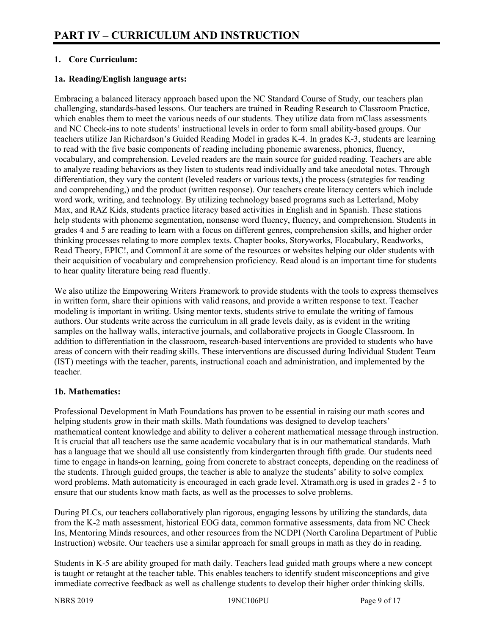## **1. Core Curriculum:**

#### **1a. Reading/English language arts:**

Embracing a balanced literacy approach based upon the NC Standard Course of Study, our teachers plan challenging, standards-based lessons. Our teachers are trained in Reading Research to Classroom Practice, which enables them to meet the various needs of our students. They utilize data from mClass assessments and NC Check-ins to note students' instructional levels in order to form small ability-based groups. Our teachers utilize Jan Richardson's Guided Reading Model in grades K-4. In grades K-3, students are learning to read with the five basic components of reading including phonemic awareness, phonics, fluency, vocabulary, and comprehension. Leveled readers are the main source for guided reading. Teachers are able to analyze reading behaviors as they listen to students read individually and take anecdotal notes. Through differentiation, they vary the content (leveled readers or various texts,) the process (strategies for reading and comprehending,) and the product (written response). Our teachers create literacy centers which include word work, writing, and technology. By utilizing technology based programs such as Letterland, Moby Max, and RAZ Kids, students practice literacy based activities in English and in Spanish. These stations help students with phoneme segmentation, nonsense word fluency, fluency, and comprehension. Students in grades 4 and 5 are reading to learn with a focus on different genres, comprehension skills, and higher order thinking processes relating to more complex texts. Chapter books, Storyworks, Flocabulary, Readworks, Read Theory, EPIC!, and CommonLit are some of the resources or websites helping our older students with their acquisition of vocabulary and comprehension proficiency. Read aloud is an important time for students to hear quality literature being read fluently.

We also utilize the Empowering Writers Framework to provide students with the tools to express themselves in written form, share their opinions with valid reasons, and provide a written response to text. Teacher modeling is important in writing. Using mentor texts, students strive to emulate the writing of famous authors. Our students write across the curriculum in all grade levels daily, as is evident in the writing samples on the hallway walls, interactive journals, and collaborative projects in Google Classroom. In addition to differentiation in the classroom, research-based interventions are provided to students who have areas of concern with their reading skills. These interventions are discussed during Individual Student Team (IST) meetings with the teacher, parents, instructional coach and administration, and implemented by the teacher.

## **1b. Mathematics:**

Professional Development in Math Foundations has proven to be essential in raising our math scores and helping students grow in their math skills. Math foundations was designed to develop teachers' mathematical content knowledge and ability to deliver a coherent mathematical message through instruction. It is crucial that all teachers use the same academic vocabulary that is in our mathematical standards. Math has a language that we should all use consistently from kindergarten through fifth grade. Our students need time to engage in hands-on learning, going from concrete to abstract concepts, depending on the readiness of the students. Through guided groups, the teacher is able to analyze the students' ability to solve complex word problems. Math automaticity is encouraged in each grade level. Xtramath.org is used in grades 2 - 5 to ensure that our students know math facts, as well as the processes to solve problems.

During PLCs, our teachers collaboratively plan rigorous, engaging lessons by utilizing the standards, data from the K-2 math assessment, historical EOG data, common formative assessments, data from NC Check Ins, Mentoring Minds resources, and other resources from the NCDPI (North Carolina Department of Public Instruction) website. Our teachers use a similar approach for small groups in math as they do in reading.

Students in K-5 are ability grouped for math daily. Teachers lead guided math groups where a new concept is taught or retaught at the teacher table. This enables teachers to identify student misconceptions and give immediate corrective feedback as well as challenge students to develop their higher order thinking skills.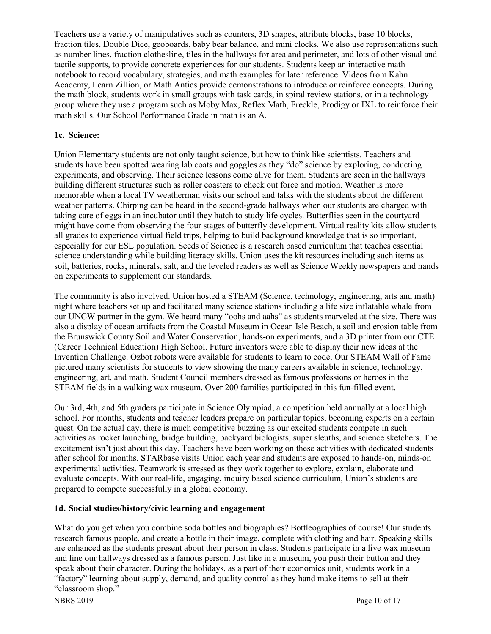Teachers use a variety of manipulatives such as counters, 3D shapes, attribute blocks, base 10 blocks, fraction tiles, Double Dice, geoboards, baby bear balance, and mini clocks. We also use representations such as number lines, fraction clothesline, tiles in the hallways for area and perimeter, and lots of other visual and tactile supports, to provide concrete experiences for our students. Students keep an interactive math notebook to record vocabulary, strategies, and math examples for later reference. Videos from Kahn Academy, Learn Zillion, or Math Antics provide demonstrations to introduce or reinforce concepts. During the math block, students work in small groups with task cards, in spiral review stations, or in a technology group where they use a program such as Moby Max, Reflex Math, Freckle, Prodigy or IXL to reinforce their math skills. Our School Performance Grade in math is an A.

#### **1c. Science:**

Union Elementary students are not only taught science, but how to think like scientists. Teachers and students have been spotted wearing lab coats and goggles as they "do" science by exploring, conducting experiments, and observing. Their science lessons come alive for them. Students are seen in the hallways building different structures such as roller coasters to check out force and motion. Weather is more memorable when a local TV weatherman visits our school and talks with the students about the different weather patterns. Chirping can be heard in the second-grade hallways when our students are charged with taking care of eggs in an incubator until they hatch to study life cycles. Butterflies seen in the courtyard might have come from observing the four stages of butterfly development. Virtual reality kits allow students all grades to experience virtual field trips, helping to build background knowledge that is so important, especially for our ESL population. Seeds of Science is a research based curriculum that teaches essential science understanding while building literacy skills. Union uses the kit resources including such items as soil, batteries, rocks, minerals, salt, and the leveled readers as well as Science Weekly newspapers and hands on experiments to supplement our standards.

The community is also involved. Union hosted a STEAM (Science, technology, engineering, arts and math) night where teachers set up and facilitated many science stations including a life size inflatable whale from our UNCW partner in the gym. We heard many "oohs and aahs" as students marveled at the size. There was also a display of ocean artifacts from the Coastal Museum in Ocean Isle Beach, a soil and erosion table from the Brunswick County Soil and Water Conservation, hands-on experiments, and a 3D printer from our CTE (Career Technical Education) High School. Future inventors were able to display their new ideas at the Invention Challenge. Ozbot robots were available for students to learn to code. Our STEAM Wall of Fame pictured many scientists for students to view showing the many careers available in science, technology, engineering, art, and math. Student Council members dressed as famous professions or heroes in the STEAM fields in a walking wax museum. Over 200 families participated in this fun-filled event.

Our 3rd, 4th, and 5th graders participate in Science Olympiad, a competition held annually at a local high school. For months, students and teacher leaders prepare on particular topics, becoming experts on a certain quest. On the actual day, there is much competitive buzzing as our excited students compete in such activities as rocket launching, bridge building, backyard biologists, super sleuths, and science sketchers. The excitement isn't just about this day, Teachers have been working on these activities with dedicated students after school for months. STARbase visits Union each year and students are exposed to hands-on, minds-on experimental activities. Teamwork is stressed as they work together to explore, explain, elaborate and evaluate concepts. With our real-life, engaging, inquiry based science curriculum, Union's students are prepared to compete successfully in a global economy.

## **1d. Social studies/history/civic learning and engagement**

What do you get when you combine soda bottles and biographies? Bottleographies of course! Our students research famous people, and create a bottle in their image, complete with clothing and hair. Speaking skills are enhanced as the students present about their person in class. Students participate in a live wax museum and line our hallways dressed as a famous person. Just like in a museum, you push their button and they speak about their character. During the holidays, as a part of their economics unit, students work in a "factory" learning about supply, demand, and quality control as they hand make items to sell at their "classroom shop."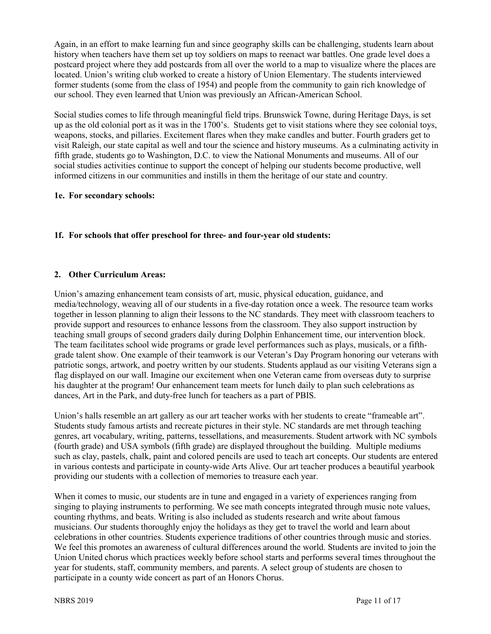Again, in an effort to make learning fun and since geography skills can be challenging, students learn about history when teachers have them set up toy soldiers on maps to reenact war battles. One grade level does a postcard project where they add postcards from all over the world to a map to visualize where the places are located. Union's writing club worked to create a history of Union Elementary. The students interviewed former students (some from the class of 1954) and people from the community to gain rich knowledge of our school. They even learned that Union was previously an African-American School.

Social studies comes to life through meaningful field trips. Brunswick Towne, during Heritage Days, is set up as the old colonial port as it was in the 1700's. Students get to visit stations where they see colonial toys, weapons, stocks, and pillaries. Excitement flares when they make candles and butter. Fourth graders get to visit Raleigh, our state capital as well and tour the science and history museums. As a culminating activity in fifth grade, students go to Washington, D.C. to view the National Monuments and museums. All of our social studies activities continue to support the concept of helping our students become productive, well informed citizens in our communities and instills in them the heritage of our state and country.

#### **1e. For secondary schools:**

## **1f. For schools that offer preschool for three- and four-year old students:**

## **2. Other Curriculum Areas:**

Union's amazing enhancement team consists of art, music, physical education, guidance, and media/technology, weaving all of our students in a five-day rotation once a week. The resource team works together in lesson planning to align their lessons to the NC standards. They meet with classroom teachers to provide support and resources to enhance lessons from the classroom. They also support instruction by teaching small groups of second graders daily during Dolphin Enhancement time, our intervention block. The team facilitates school wide programs or grade level performances such as plays, musicals, or a fifthgrade talent show. One example of their teamwork is our Veteran's Day Program honoring our veterans with patriotic songs, artwork, and poetry written by our students. Students applaud as our visiting Veterans sign a flag displayed on our wall. Imagine our excitement when one Veteran came from overseas duty to surprise his daughter at the program! Our enhancement team meets for lunch daily to plan such celebrations as dances, Art in the Park, and duty-free lunch for teachers as a part of PBIS.

Union's halls resemble an art gallery as our art teacher works with her students to create "frameable art". Students study famous artists and recreate pictures in their style. NC standards are met through teaching genres, art vocabulary, writing, patterns, tessellations, and measurements. Student artwork with NC symbols (fourth grade) and USA symbols (fifth grade) are displayed throughout the building. Multiple mediums such as clay, pastels, chalk, paint and colored pencils are used to teach art concepts. Our students are entered in various contests and participate in county-wide Arts Alive. Our art teacher produces a beautiful yearbook providing our students with a collection of memories to treasure each year.

When it comes to music, our students are in tune and engaged in a variety of experiences ranging from singing to playing instruments to performing. We see math concepts integrated through music note values, counting rhythms, and beats. Writing is also included as students research and write about famous musicians. Our students thoroughly enjoy the holidays as they get to travel the world and learn about celebrations in other countries. Students experience traditions of other countries through music and stories. We feel this promotes an awareness of cultural differences around the world. Students are invited to join the Union United chorus which practices weekly before school starts and performs several times throughout the year for students, staff, community members, and parents. A select group of students are chosen to participate in a county wide concert as part of an Honors Chorus.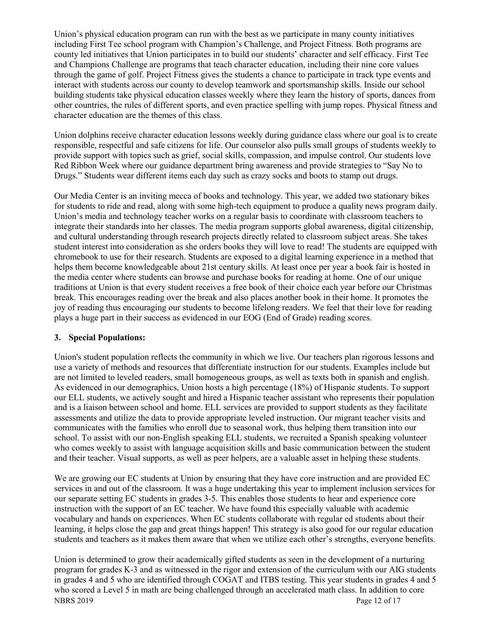Union's physical education program can run with the best as we participate in many county initiatives including First Tee school program with Champion's Challenge, and Project Fitness. Both programs are county led initiatives that Union participates in to build our students' character and self efficacy. First Tee and Champions Challenge are programs that teach character education, including their nine core values through the game of golf. Project Fitness gives the students a chance to participate in track type events and interact with students across our county to develop teamwork and sportsmanship skills. Inside our school building students take physical education classes weekly where they learn the history of sports, dances from other countries, the rules of different sports, and even practice spelling with jump ropes. Physical fitness and character education are the themes of this class.

Union dolphins receive character education lessons weekly during guidance class where our goal is to create responsible, respectful and safe citizens for life. Our counselor also pulls small groups of students weekly to provide support with topics such as grief, social skills, compassion, and impulse control. Our students love Red Ribbon Week where our guidance department bring awareness and provide strategies to "Say No to Drugs." Students wear different items each day such as crazy socks and boots to stamp out drugs.

Our Media Center is an inviting mecca of books and technology. This year, we added two stationary bikes for students to ride and read, along with some high-tech equipment to produce a quality news program daily. Union's media and technology teacher works on a regular basis to coordinate with classroom teachers to integrate their standards into her classes. The media program supports global awareness, digital citizenship, and cultural understanding through research projects directly related to classroom subject areas. She takes student interest into consideration as she orders books they will love to read! The students are equipped with chromebook to use for their research. Students are exposed to a digital learning experience in a method that helps them become knowledgeable about 21st century skills. At least once per year a book fair is hosted in the media center where students can browse and purchase books for reading at home. One of our unique traditions at Union is that every student receives a free book of their choice each year before our Christmas break. This encourages reading over the break and also places another book in their home. It promotes the joy of reading thus encouraging our students to become lifelong readers. We feel that their love for reading plays a huge part in their success as evidenced in our EOG (End of Grade) reading scores.

#### **3. Special Populations:**

Union's student population reflects the community in which we live. Our teachers plan rigorous lessons and use a variety of methods and resources that differentiate instruction for our students. Examples include but are not limited to leveled readers, small homogeneous groups, as well as texts both in spanish and english. As evidenced in our demographics, Union hosts a high percentage (18%) of Hispanic students. To support our ELL students, we actively sought and hired a Hispanic teacher assistant who represents their population and is a liaison between school and home. ELL services are provided to support students as they facilitate assessments and utilize the data to provide appropriate leveled instruction. Our migrant teacher visits and communicates with the families who enroll due to seasonal work, thus helping them transition into our school. To assist with our non-English speaking ELL students, we recruited a Spanish speaking volunteer who comes weekly to assist with language acquisition skills and basic communication between the student and their teacher. Visual supports, as well as peer helpers, are a valuable asset in helping these students.

We are growing our EC students at Union by ensuring that they have core instruction and are provided EC services in and out of the classroom. It was a huge undertaking this year to implement inclusion services for our separate setting EC students in grades 3-5. This enables those students to hear and experience core instruction with the support of an EC teacher. We have found this especially valuable with academic vocabulary and hands on experiences. When EC students collaborate with regular ed students about their learning, it helps close the gap and great things happen! This strategy is also good for our regular education students and teachers as it makes them aware that when we utilize each other's strengths, everyone benefits.

NBRS 2019 Page 12 of 17 Union is determined to grow their academically gifted students as seen in the development of a nurturing program for grades K-3 and as witnessed in the rigor and extension of the curriculum with our AIG students in grades 4 and 5 who are identified through COGAT and ITBS testing. This year students in grades 4 and 5 who scored a Level 5 in math are being challenged through an accelerated math class. In addition to core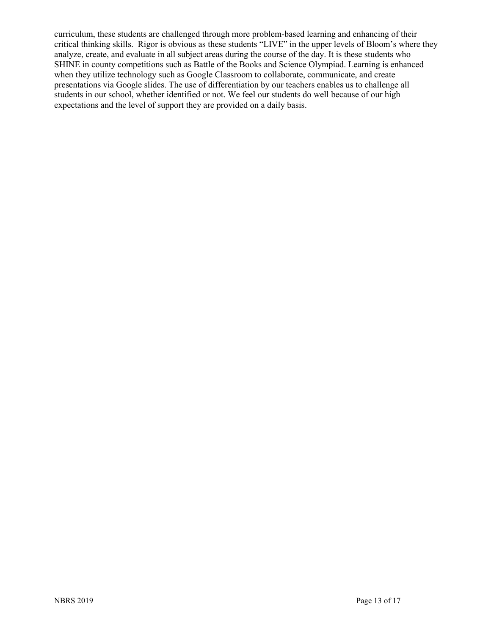curriculum, these students are challenged through more problem-based learning and enhancing of their critical thinking skills. Rigor is obvious as these students "LIVE" in the upper levels of Bloom's where they analyze, create, and evaluate in all subject areas during the course of the day. It is these students who SHINE in county competitions such as Battle of the Books and Science Olympiad. Learning is enhanced when they utilize technology such as Google Classroom to collaborate, communicate, and create presentations via Google slides. The use of differentiation by our teachers enables us to challenge all students in our school, whether identified or not. We feel our students do well because of our high expectations and the level of support they are provided on a daily basis.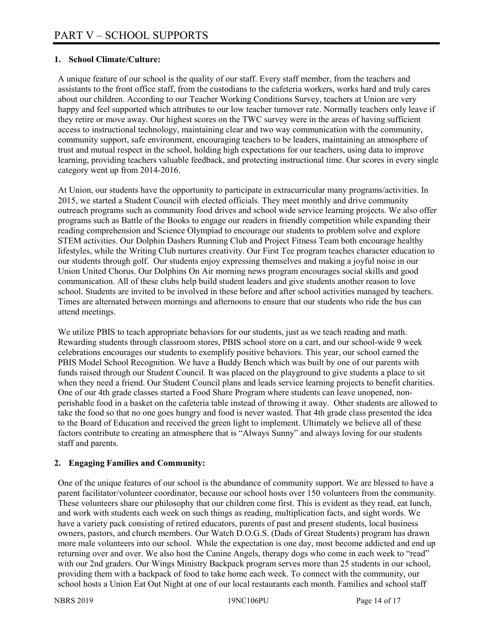#### **1. School Climate/Culture:**

A unique feature of our school is the quality of our staff. Every staff member, from the teachers and assistants to the front office staff, from the custodians to the cafeteria workers, works hard and truly cares about our children. According to our Teacher Working Conditions Survey, teachers at Union are very happy and feel supported which attributes to our low teacher turnover rate. Normally teachers only leave if they retire or move away. Our highest scores on the TWC survey were in the areas of having sufficient access to instructional technology, maintaining clear and two way communication with the community, community support, safe environment, encouraging teachers to be leaders, maintaining an atmosphere of trust and mutual respect in the school, holding high expectations for our teachers, using data to improve learning, providing teachers valuable feedback, and protecting instructional time. Our scores in every single category went up from 2014-2016.

At Union, our students have the opportunity to participate in extracurricular many programs/activities. In 2015, we started a Student Council with elected officials. They meet monthly and drive community outreach programs such as community food drives and school wide service learning projects. We also offer programs such as Battle of the Books to engage our readers in friendly competition while expanding their reading comprehension and Science Olympiad to encourage our students to problem solve and explore STEM activities. Our Dolphin Dashers Running Club and Project Fitness Team both encourage healthy lifestyles, while the Writing Club nurtures creativity. Our First Tee program teaches character education to our students through golf. Our students enjoy expressing themselves and making a joyful noise in our Union United Chorus. Our Dolphins On Air morning news program encourages social skills and good communication. All of these clubs help build student leaders and give students another reason to love school. Students are invited to be involved in these before and after school activities managed by teachers. Times are alternated between mornings and afternoons to ensure that our students who ride the bus can attend meetings.

We utilize PBIS to teach appropriate behaviors for our students, just as we teach reading and math. Rewarding students through classroom stores, PBIS school store on a cart, and our school-wide 9 week celebrations encourages our students to exemplify positive behaviors. This year, our school earned the PBIS Model School Recognition. We have a Buddy Bench which was built by one of our parents with funds raised through our Student Council. It was placed on the playground to give students a place to sit when they need a friend. Our Student Council plans and leads service learning projects to benefit charities. One of our 4th grade classes started a Food Share Program where students can leave unopened, nonperishable food in a basket on the cafeteria table instead of throwing it away. Other students are allowed to take the food so that no one goes hungry and food is never wasted. That 4th grade class presented the idea to the Board of Education and received the green light to implement. Ultimately we believe all of these factors contribute to creating an atmosphere that is "Always Sunny" and always loving for our students staff and parents.

## **2. Engaging Families and Community:**

One of the unique features of our school is the abundance of community support. We are blessed to have a parent facilitator/volunteer coordinator, because our school hosts over 150 volunteers from the community. These volunteers share our philosophy that our children come first. This is evident as they read, eat lunch, and work with students each week on such things as reading, multiplication facts, and sight words. We have a variety pack consisting of retired educators, parents of past and present students, local business owners, pastors, and church members. Our Watch D.O.G.S. (Dads of Great Students) program has drawn more male volunteers into our school. While the expectation is one day, most become addicted and end up returning over and over. We also host the Canine Angels, therapy dogs who come in each week to "read" with our 2nd graders. Our Wings Ministry Backpack program serves more than 25 students in our school, providing them with a backpack of food to take home each week. To connect with the community, our school hosts a Union Eat Out Night at one of our local restaurants each month. Families and school staff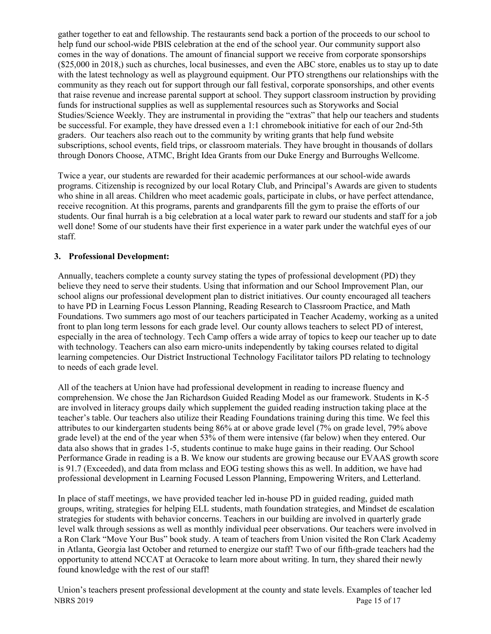gather together to eat and fellowship. The restaurants send back a portion of the proceeds to our school to help fund our school-wide PBIS celebration at the end of the school year. Our community support also comes in the way of donations. The amount of financial support we receive from corporate sponsorships (\$25,000 in 2018,) such as churches, local businesses, and even the ABC store, enables us to stay up to date with the latest technology as well as playground equipment. Our PTO strengthens our relationships with the community as they reach out for support through our fall festival, corporate sponsorships, and other events that raise revenue and increase parental support at school. They support classroom instruction by providing funds for instructional supplies as well as supplemental resources such as Storyworks and Social Studies/Science Weekly. They are instrumental in providing the "extras" that help our teachers and students be successful. For example, they have dressed even a 1:1 chromebook initiative for each of our 2nd-5th graders. Our teachers also reach out to the community by writing grants that help fund website subscriptions, school events, field trips, or classroom materials. They have brought in thousands of dollars through Donors Choose, ATMC, Bright Idea Grants from our Duke Energy and Burroughs Wellcome.

Twice a year, our students are rewarded for their academic performances at our school-wide awards programs. Citizenship is recognized by our local Rotary Club, and Principal's Awards are given to students who shine in all areas. Children who meet academic goals, participate in clubs, or have perfect attendance, receive recognition. At this programs, parents and grandparents fill the gym to praise the efforts of our students. Our final hurrah is a big celebration at a local water park to reward our students and staff for a job well done! Some of our students have their first experience in a water park under the watchful eyes of our staff.

#### **3. Professional Development:**

Annually, teachers complete a county survey stating the types of professional development (PD) they believe they need to serve their students. Using that information and our School Improvement Plan, our school aligns our professional development plan to district initiatives. Our county encouraged all teachers to have PD in Learning Focus Lesson Planning, Reading Research to Classroom Practice, and Math Foundations. Two summers ago most of our teachers participated in Teacher Academy, working as a united front to plan long term lessons for each grade level. Our county allows teachers to select PD of interest, especially in the area of technology. Tech Camp offers a wide array of topics to keep our teacher up to date with technology. Teachers can also earn micro-units independently by taking courses related to digital learning competencies. Our District Instructional Technology Facilitator tailors PD relating to technology to needs of each grade level.

All of the teachers at Union have had professional development in reading to increase fluency and comprehension. We chose the Jan Richardson Guided Reading Model as our framework. Students in K-5 are involved in literacy groups daily which supplement the guided reading instruction taking place at the teacher's table. Our teachers also utilize their Reading Foundations training during this time. We feel this attributes to our kindergarten students being 86% at or above grade level (7% on grade level, 79% above grade level) at the end of the year when 53% of them were intensive (far below) when they entered. Our data also shows that in grades 1-5, students continue to make huge gains in their reading. Our School Performance Grade in reading is a B. We know our students are growing because our EVAAS growth score is 91.7 (Exceeded), and data from mclass and EOG testing shows this as well. In addition, we have had professional development in Learning Focused Lesson Planning, Empowering Writers, and Letterland.

In place of staff meetings, we have provided teacher led in-house PD in guided reading, guided math groups, writing, strategies for helping ELL students, math foundation strategies, and Mindset de escalation strategies for students with behavior concerns. Teachers in our building are involved in quarterly grade level walk through sessions as well as monthly individual peer observations. Our teachers were involved in a Ron Clark "Move Your Bus" book study. A team of teachers from Union visited the Ron Clark Academy in Atlanta, Georgia last October and returned to energize our staff! Two of our fifth-grade teachers had the opportunity to attend NCCAT at Ocracoke to learn more about writing. In turn, they shared their newly found knowledge with the rest of our staff!

NBRS 2019 Page 15 of 17 Union's teachers present professional development at the county and state levels. Examples of teacher led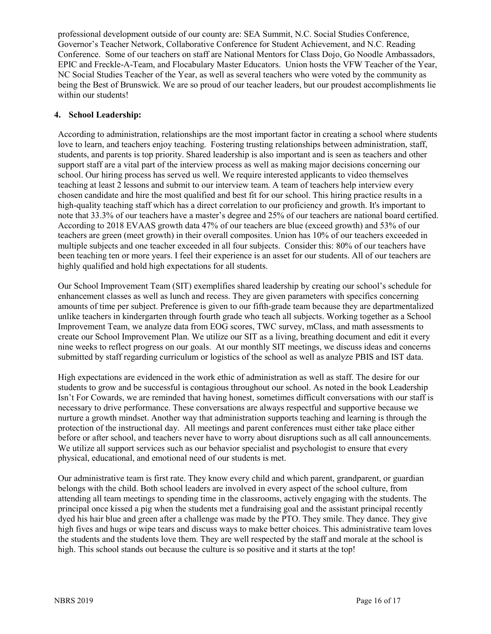professional development outside of our county are: SEA Summit, N.C. Social Studies Conference, Governor's Teacher Network, Collaborative Conference for Student Achievement, and N.C. Reading Conference. Some of our teachers on staff are National Mentors for Class Dojo, Go Noodle Ambassadors, EPIC and Freckle-A-Team, and Flocabulary Master Educators. Union hosts the VFW Teacher of the Year, NC Social Studies Teacher of the Year, as well as several teachers who were voted by the community as being the Best of Brunswick. We are so proud of our teacher leaders, but our proudest accomplishments lie within our students!

#### **4. School Leadership:**

According to administration, relationships are the most important factor in creating a school where students love to learn, and teachers enjoy teaching. Fostering trusting relationships between administration, staff, students, and parents is top priority. Shared leadership is also important and is seen as teachers and other support staff are a vital part of the interview process as well as making major decisions concerning our school. Our hiring process has served us well. We require interested applicants to video themselves teaching at least 2 lessons and submit to our interview team. A team of teachers help interview every chosen candidate and hire the most qualified and best fit for our school. This hiring practice results in a high-quality teaching staff which has a direct correlation to our proficiency and growth. It's important to note that 33.3% of our teachers have a master's degree and 25% of our teachers are national board certified. According to 2018 EVAAS growth data 47% of our teachers are blue (exceed growth) and 53% of our teachers are green (meet growth) in their overall composites. Union has 10% of our teachers exceeded in multiple subjects and one teacher exceeded in all four subjects. Consider this: 80% of our teachers have been teaching ten or more years. I feel their experience is an asset for our students. All of our teachers are highly qualified and hold high expectations for all students.

Our School Improvement Team (SIT) exemplifies shared leadership by creating our school's schedule for enhancement classes as well as lunch and recess. They are given parameters with specifics concerning amounts of time per subject. Preference is given to our fifth-grade team because they are departmentalized unlike teachers in kindergarten through fourth grade who teach all subjects. Working together as a School Improvement Team, we analyze data from EOG scores, TWC survey, mClass, and math assessments to create our School Improvement Plan. We utilize our SIT as a living, breathing document and edit it every nine weeks to reflect progress on our goals. At our monthly SIT meetings, we discuss ideas and concerns submitted by staff regarding curriculum or logistics of the school as well as analyze PBIS and IST data.

High expectations are evidenced in the work ethic of administration as well as staff. The desire for our students to grow and be successful is contagious throughout our school. As noted in the book Leadership Isn't For Cowards, we are reminded that having honest, sometimes difficult conversations with our staff is necessary to drive performance. These conversations are always respectful and supportive because we nurture a growth mindset. Another way that administration supports teaching and learning is through the protection of the instructional day. All meetings and parent conferences must either take place either before or after school, and teachers never have to worry about disruptions such as all call announcements. We utilize all support services such as our behavior specialist and psychologist to ensure that every physical, educational, and emotional need of our students is met.

Our administrative team is first rate. They know every child and which parent, grandparent, or guardian belongs with the child. Both school leaders are involved in every aspect of the school culture, from attending all team meetings to spending time in the classrooms, actively engaging with the students. The principal once kissed a pig when the students met a fundraising goal and the assistant principal recently dyed his hair blue and green after a challenge was made by the PTO. They smile. They dance. They give high fives and hugs or wipe tears and discuss ways to make better choices. This administrative team loves the students and the students love them. They are well respected by the staff and morale at the school is high. This school stands out because the culture is so positive and it starts at the top!